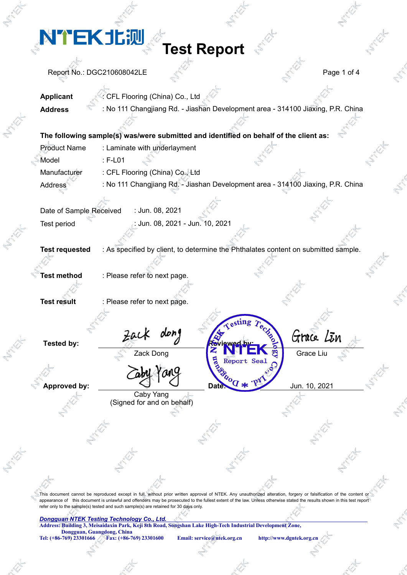**Test Report**

Report No.: DGC210608042LE Page 1 of 4

**Applicant** : CFL Flooring (China) Co., Ltd **Address** : No 111 Changjiang Rd. - Jiashan Development area - 314100 Jiaxing, P.R. China

|                     |                                 | The following sample(s) was/were submitted and identified on behalf of the client as: |  |
|---------------------|---------------------------------|---------------------------------------------------------------------------------------|--|
| <b>Product Name</b> | : Laminate with underlayment    |                                                                                       |  |
| Model               | ∴ F-L01                         |                                                                                       |  |
| Manufacturer        | : CFL Flooring (China) Co., Ltd |                                                                                       |  |
| <b>Address</b>      |                                 | : No 111 Changjiang Rd. - Jiashan Development area - 314100 Jiaxing, P.R. China       |  |

Date of Sample Received : Jun. 08, 2021 Test period : Jun. 08, 2021 - Jun. 10, 2021

**Test requested** : As specified by client, to determine the Phthalates content on submitted sample.

**Test method** : Please refer to next page.

**Test result** : Please refer to next page.

**Approved by:**<br>**Approved by:**  $\overline{d}$  **Date:**  $\overline{v}$  **Date:**  $\overline{v}$  **Date:**  $\overline{v}$  Jun. 10, 2021

Caby Yang (Signed for and on behalf)

Tested by:  $Zack$  dong  $R = \begin{bmatrix} x \\ y \end{bmatrix}$  Grace Lin Zack Dong **Grace Liu** 

This document cannot be reproduced except in full, without prior written approval of NTEK. Any unauthorized alteration, forgery or falsification of the content or appearance of this document is unlawful and offenders may be prosecuted to the fullest extent of the law. Unless otherwise stated the results shown in this test report refer only to the sample(s) tested and such sample(s) are retained for 30 days only.

#### *Dongguan NTEK Testing Technology Co., Ltd.*

**Address: Building 3, Meisaidaxin Park, Keji 8th Road, Songshan Lake High-Tech Industrial Development Zone,**

**Dongguan, Guangdong, China**<br>**Tel:** (+86-769) 23301666 Fax: (+86-7

**Tel: (+86-769) 23301666 Fax: (+86-769) 23301600 Email: service@ntek.org.cn http://www.dgntek.org.cn**

Report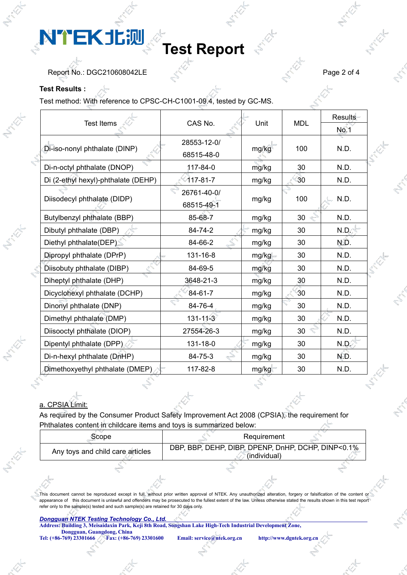## **Test Report**

Report No.: DGC210608042LE Page 2 of 4

#### **Test Results :**

Test method: With reference to CPSC-CH-C1001-09.4, tested by GC-MS.

|                                     | CAS No.        |       |            | Results     |  |
|-------------------------------------|----------------|-------|------------|-------------|--|
| <b>Test Items</b>                   |                | Unit  | <b>MDL</b> | <b>No.1</b> |  |
|                                     | 28553-12-0/    |       | 100        |             |  |
| Di-iso-nonyl phthalate (DINP)       | 68515-48-0     | mg/kg |            | N.D.        |  |
| Di-n-octyl phthalate (DNOP)         | 117-84-0       | mg/kg | 30         | N.D.        |  |
| Di (2-ethyl hexyl)-phthalate (DEHP) | $117 - 81 - 7$ | mg/kg | 30         | N.D.        |  |
|                                     | 26761-40-0/    |       |            |             |  |
| Diisodecyl phthalate (DIDP)         | 68515-49-1     | mg/kg | 100        | N.D.        |  |
| Butylbenzyl phthalate (BBP)         | 85-68-7        | mg/kg | 30         | N.D.        |  |
| Dibutyl phthalate (DBP)             | 84-74-2        | mg/kg | 30         | N.D.        |  |
| Diethyl phthalate(DEP)              | 84-66-2        | mg/kg | 30         | N.D.        |  |
| Dipropyl phthalate (DPrP)           | 131-16-8       | mg/kg | 30         | N.D.        |  |
| Diisobuty phthalate (DIBP)          | 84-69-5        | mg/kg | 30         | N.D.        |  |
| Diheptyl phthalate (DHP)            | 3648-21-3      | mg/kg | 30         | N.D.        |  |
| Dicyclohexyl phthalate (DCHP)       | 84-61-7        | mg/kg | 30         | N.D.        |  |
| Dinonyl phthalate (DNP)             | 84-76-4        | mg/kg | 30         | N.D.        |  |
| Dimethyl phthalate (DMP)            | $131 - 11 - 3$ | mg/kg | 30         | N.D.        |  |
| Diisooctyl phthalate (DIOP)         | 27554-26-3     | mg/kg | 30         | N.D.        |  |
| Dipentyl phthalate (DPP)            | 131-18-0       | mg/kg | 30         | N.D.        |  |
| Di-n-hexyl phthalate (DnHP)         | 84-75-3        | mg/kg | 30         | N.D.        |  |
| Dimethoxyethyl phthalate (DMEP)     | 117-82-8       | mg/kg | 30         | N.D.        |  |

### a. CPSIA Limit:

As required by the Consumer Product Safety Improvement Act 2008 (CPSIA), the requirement for Phthalates content in childcare items and toys is summarized below:

| :cope                            | Requirement                                                                |
|----------------------------------|----------------------------------------------------------------------------|
| Any toys and child care articles | DEHP, DIBP, DPENP, DnHP, DCHP, DINP<0.1%<br>. BBP.<br>DBP.<br>(individual) |

This document cannot be reproduced except in full, without prior written approval of NTEK. Any unauthorized alteration, forgery or falsification of the content or appearance of this document is unlawful and offenders may be prosecuted to the fullest extent of the law. Unless otherwise stated the results shown in this test report refer only to the sample(s) tested and such sample(s) are retained for 30 days only.

#### *Dongguan NTEK Testing Technology Co., Ltd.*

**Address: Building 3, Meisaidaxin Park, Keji 8th Road, Songshan Lake High-Tech Industrial Development Zone,**

**Dongguan, Guangdong, China**<br>**Tel: (+86-769) 23301666** Fax: (+86-769) 23301600

**Tel: (+86-769) 23301666 Fax: (+86-769) 23301600 Email: service@ntek.org.cn http://www.dgntek.org.cn**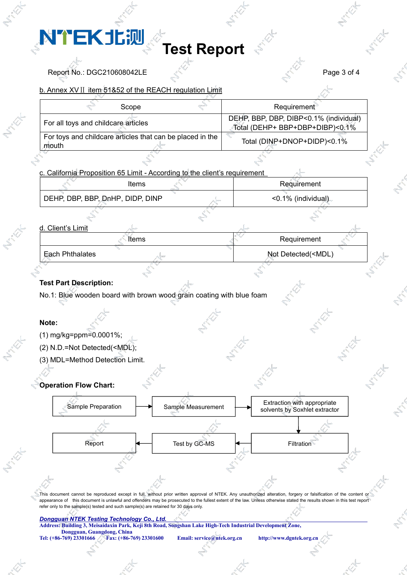### **Test Report**

Report No.: DGC210608042LE Page 3 of 4

### b. Annex XVⅡ item 51&52 of the REACH regulation Limit

| Scope                                                              | Requirement                                                               |
|--------------------------------------------------------------------|---------------------------------------------------------------------------|
| For all toys and childcare articles                                | DEHP, BBP, DBP, DIBP<0.1% (individual)<br>Total (DEHP+ BBP+DBP+DIBP)<0.1% |
| For toys and childcare articles that can be placed in the<br>mouth | Total (DINP+DNOP+DIDP)<0.1%                                               |

c. California Proposition 65 Limit - According to the client's requirement

| Items                            | Requirement           |  |
|----------------------------------|-----------------------|--|
| DEHP, DBP, BBP, DnHP, DIDP, DINP | $<$ 0.1% (individual) |  |

#### d. Client's Limit

| Items           | Requirement                         |  |
|-----------------|-------------------------------------|--|
| Each Phthalates | Not Detected( <mdl)< th=""></mdl)<> |  |

### **Test Part Description:**

No.1: Blue wooden board with brown wood grain coating with blue foam

### **Note:**

- (1) mg/kg=ppm=0.0001%;
- (2) N.D.=Not Detected(<MDL);
- (3) MDL=Method Detection Limit.

### **Operation Flow Chart:**



This document cannot be reproduced except in full, without prior written approval of NTEK. Any unauthorized alteration, forgery or falsification of the content or appearance of this document is unlawful and offenders may be prosecuted to the fullest extent of the law. Unless otherwise stated the results shown in this test report refer only to the sample(s) tested and such sample(s) are retained for 30 days only.

#### *Dongguan NTEK Testing Technology Co., Ltd.*

**Address: Building 3, Meisaidaxin Park, Keji 8th Road, Songshan Lake High-Tech Industrial Development Zone,**

**Dongguan, Guangdong, China**<br>**Tel:** (+86-769) 23301666 Fax: (+86-7

**Tel: (+86-769) 23301666 Fax: (+86-769) 23301600 Email: service@ntek.org.cn http://www.dgntek.org.cn**